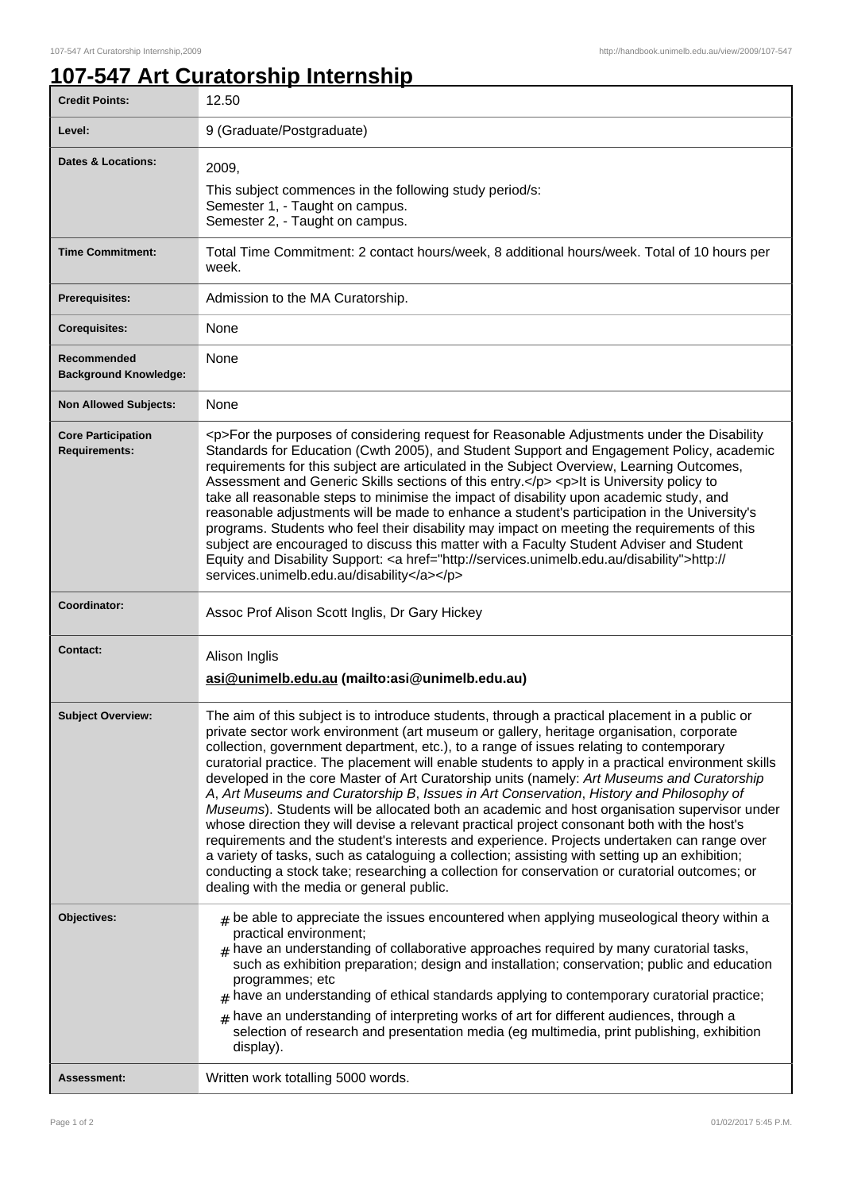٦

## **107-547 Art Curatorship Internship**

| <b>Credit Points:</b>                             | 12.50                                                                                                                                                                                                                                                                                                                                                                                                                                                                                                                                                                                                                                                                                                                                                                                                                                                                                                                                                                                                                                                                                                                               |
|---------------------------------------------------|-------------------------------------------------------------------------------------------------------------------------------------------------------------------------------------------------------------------------------------------------------------------------------------------------------------------------------------------------------------------------------------------------------------------------------------------------------------------------------------------------------------------------------------------------------------------------------------------------------------------------------------------------------------------------------------------------------------------------------------------------------------------------------------------------------------------------------------------------------------------------------------------------------------------------------------------------------------------------------------------------------------------------------------------------------------------------------------------------------------------------------------|
| Level:                                            | 9 (Graduate/Postgraduate)                                                                                                                                                                                                                                                                                                                                                                                                                                                                                                                                                                                                                                                                                                                                                                                                                                                                                                                                                                                                                                                                                                           |
| <b>Dates &amp; Locations:</b>                     | 2009,<br>This subject commences in the following study period/s:<br>Semester 1, - Taught on campus.<br>Semester 2, - Taught on campus.                                                                                                                                                                                                                                                                                                                                                                                                                                                                                                                                                                                                                                                                                                                                                                                                                                                                                                                                                                                              |
| <b>Time Commitment:</b>                           | Total Time Commitment: 2 contact hours/week, 8 additional hours/week. Total of 10 hours per<br>week.                                                                                                                                                                                                                                                                                                                                                                                                                                                                                                                                                                                                                                                                                                                                                                                                                                                                                                                                                                                                                                |
| <b>Prerequisites:</b>                             | Admission to the MA Curatorship.                                                                                                                                                                                                                                                                                                                                                                                                                                                                                                                                                                                                                                                                                                                                                                                                                                                                                                                                                                                                                                                                                                    |
| <b>Corequisites:</b>                              | None                                                                                                                                                                                                                                                                                                                                                                                                                                                                                                                                                                                                                                                                                                                                                                                                                                                                                                                                                                                                                                                                                                                                |
| Recommended<br><b>Background Knowledge:</b>       | None                                                                                                                                                                                                                                                                                                                                                                                                                                                                                                                                                                                                                                                                                                                                                                                                                                                                                                                                                                                                                                                                                                                                |
| <b>Non Allowed Subjects:</b>                      | None                                                                                                                                                                                                                                                                                                                                                                                                                                                                                                                                                                                                                                                                                                                                                                                                                                                                                                                                                                                                                                                                                                                                |
| <b>Core Participation</b><br><b>Requirements:</b> | <p>For the purposes of considering request for Reasonable Adjustments under the Disability<br/>Standards for Education (Cwth 2005), and Student Support and Engagement Policy, academic<br/>requirements for this subject are articulated in the Subject Overview, Learning Outcomes,<br/>Assessment and Generic Skills sections of this entry.</p> <p>It is University policy to<br/>take all reasonable steps to minimise the impact of disability upon academic study, and<br/>reasonable adjustments will be made to enhance a student's participation in the University's<br/>programs. Students who feel their disability may impact on meeting the requirements of this<br/>subject are encouraged to discuss this matter with a Faculty Student Adviser and Student<br/>Equity and Disability Support: &lt; a href="http://services.unimelb.edu.au/disability"&gt;http://<br/>services.unimelb.edu.au/disability</p>                                                                                                                                                                                                        |
|                                                   |                                                                                                                                                                                                                                                                                                                                                                                                                                                                                                                                                                                                                                                                                                                                                                                                                                                                                                                                                                                                                                                                                                                                     |
| Coordinator:                                      | Assoc Prof Alison Scott Inglis, Dr Gary Hickey                                                                                                                                                                                                                                                                                                                                                                                                                                                                                                                                                                                                                                                                                                                                                                                                                                                                                                                                                                                                                                                                                      |
| <b>Contact:</b>                                   | Alison Inglis<br>asi@unimelb.edu.au (mailto:asi@unimelb.edu.au)                                                                                                                                                                                                                                                                                                                                                                                                                                                                                                                                                                                                                                                                                                                                                                                                                                                                                                                                                                                                                                                                     |
| <b>Subject Overview:</b>                          | The aim of this subject is to introduce students, through a practical placement in a public or<br>private sector work environment (art museum or gallery, heritage organisation, corporate<br>collection, government department, etc.), to a range of issues relating to contemporary<br>curatorial practice. The placement will enable students to apply in a practical environment skills<br>developed in the core Master of Art Curatorship units (namely: Art Museums and Curatorship<br>A, Art Museums and Curatorship B, Issues in Art Conservation, History and Philosophy of<br>Museums). Students will be allocated both an academic and host organisation supervisor under<br>whose direction they will devise a relevant practical project consonant both with the host's<br>requirements and the student's interests and experience. Projects undertaken can range over<br>a variety of tasks, such as cataloguing a collection; assisting with setting up an exhibition;<br>conducting a stock take; researching a collection for conservation or curatorial outcomes; or<br>dealing with the media or general public. |
| Objectives:                                       | $*$ be able to appreciate the issues encountered when applying museological theory within a<br>practical environment;<br>$#$ have an understanding of collaborative approaches required by many curatorial tasks,<br>such as exhibition preparation; design and installation; conservation; public and education<br>programmes; etc<br>$#$ have an understanding of ethical standards applying to contemporary curatorial practice;<br>$#$ have an understanding of interpreting works of art for different audiences, through a<br>selection of research and presentation media (eg multimedia, print publishing, exhibition<br>display).<br>Written work totalling 5000 words.                                                                                                                                                                                                                                                                                                                                                                                                                                                    |